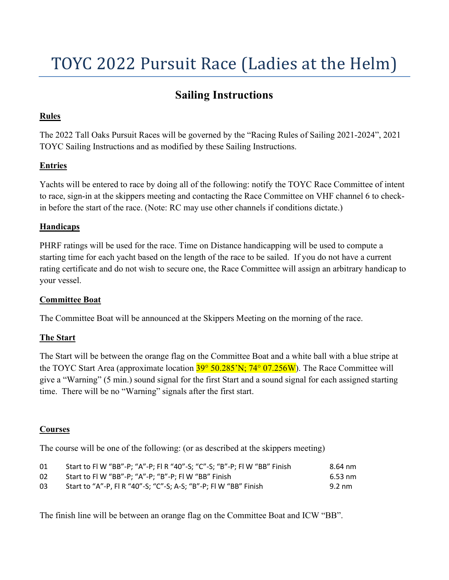# Sailing Instructions

# **Rules**

The 2022 Tall Oaks Pursuit Races will be governed by the "Racing Rules of Sailing 2021-2024", 2021 TOYC Sailing Instructions and as modified by these Sailing Instructions.

## Entries

Yachts will be entered to race by doing all of the following: notify the TOYC Race Committee of intent to race, sign-in at the skippers meeting and contacting the Race Committee on VHF channel 6 to checkin before the start of the race. (Note: RC may use other channels if conditions dictate.)

## **Handicaps**

PHRF ratings will be used for the race. Time on Distance handicapping will be used to compute a starting time for each yacht based on the length of the race to be sailed. If you do not have a current rating certificate and do not wish to secure one, the Race Committee will assign an arbitrary handicap to your vessel.

# Committee Boat

The Committee Boat will be announced at the Skippers Meeting on the morning of the race.

# The Start

The Start will be between the orange flag on the Committee Boat and a white ball with a blue stripe at the TOYC Start Area (approximate location  $39^{\circ}$  50.285'N;  $74^{\circ}$  07.256W). The Race Committee will give a "Warning" (5 min.) sound signal for the first Start and a sound signal for each assigned starting time. There will be no "Warning" signals after the first start.

## Courses

The course will be one of the following: (or as described at the skippers meeting)

| 01 | Start to Fl W "BB"-P; "A"-P; Fl R "40"-S; "C"-S; "B"-P; Fl W "BB" Finish | 8.64 nm |
|----|--------------------------------------------------------------------------|---------|
| 02 | Start to FI W "BB"-P; "A"-P; "B"-P; FI W "BB" Finish                     | 6.53 nm |
| 03 | Start to "A"-P, Fl R "40"-S; "C"-S; A-S; "B"-P; Fl W "BB" Finish         | 9.2 nm  |

The finish line will be between an orange flag on the Committee Boat and ICW "BB".